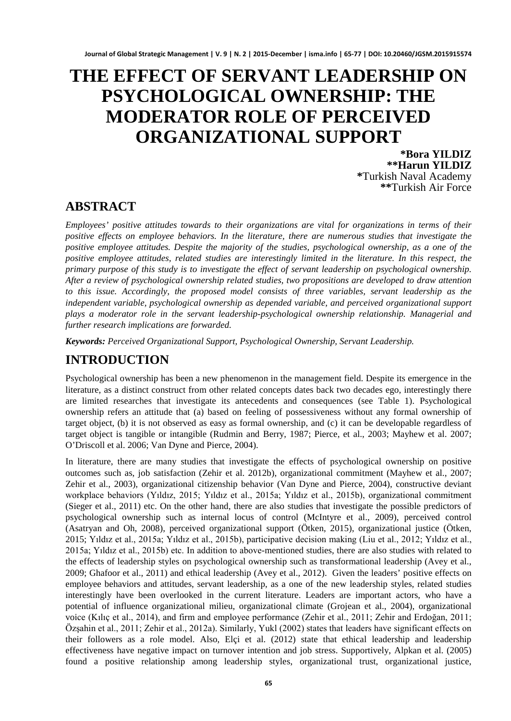# **THE EFFECT OF SERVANT LEADERSHIP ON PSYCHOLOGICAL OWNERSHIP: THE MODERATOR ROLE OF PERCEIVED ORGANIZATIONAL SUPPORT**

**\*Bora YILDIZ \*\*Harun YILDIZ \***Turkish Naval Academy **\*\***Turkish Air Force

# **ABSTRACT**

*Employees' positive attitudes towards to their organizations are vital for organizations in terms of their positive effects on employee behaviors. In the literature, there are numerous studies that investigate the positive employee attitudes. Despite the majority of the studies, psychological ownership, as a one of the positive employee attitudes, related studies are interestingly limited in the literature. In this respect, the primary purpose of this study is to investigate the effect of servant leadership on psychological ownership. After a review of psychological ownership related studies, two propositions are developed to draw attention to this issue. Accordingly, the proposed model consists of three variables, servant leadership as the independent variable, psychological ownership as depended variable, and perceived organizational support plays a moderator role in the servant leadership-psychological ownership relationship. Managerial and further research implications are forwarded.*

*Keywords: Perceived Organizational Support, Psychological Ownership, Servant Leadership.*

# **INTRODUCTION**

Psychological ownership has been a new phenomenon in the management field. Despite its emergence in the literature, as a distinct construct from other related concepts dates back two decades ego, interestingly there are limited researches that investigate its antecedents and consequences (see Table 1). Psychological ownership refers an attitude that (a) based on feeling of possessiveness without any formal ownership of target object, (b) it is not observed as easy as formal ownership, and (c) it can be developable regardless of target object is tangible or intangible (Rudmin and Berry, 1987; Pierce, et al., 2003; Mayhew et al. 2007; O'Driscoll et al. 2006; Van Dyne and Pierce, 2004).

In literature, there are many studies that investigate the effects of psychological ownership on positive outcomes such as, job satisfaction (Zehir et al. 2012b), organizational commitment (Mayhew et al., 2007; Zehir et al., 2003), organizational citizenship behavior (Van Dyne and Pierce, 2004), constructive deviant workplace behaviors (Yıldız, 2015; Yıldız et al., 2015a; Yıldız et al., 2015b), organizational commitment (Sieger et al., 2011) etc. On the other hand, there are also studies that investigate the possible predictors of psychological ownership such as internal locus of control (McIntyre et al., 2009), perceived control (Asatryan and Oh, 2008), perceived organizational support (Ötken, 2015), organizational justice (Ötken, 2015; Yıldız et al., 2015a; Yıldız et al., 2015b), participative decision making (Liu et al., 2012; Yıldız et al., 2015a; Yıldız et al., 2015b) etc. In addition to above-mentioned studies, there are also studies with related to the effects of leadership styles on psychological ownership such as transformational leadership (Avey et al., 2009; Ghafoor et al., 2011) and ethical leadership (Avey et al., 2012). Given the leaders' positive effects on employee behaviors and attitudes, servant leadership, as a one of the new leadership styles, related studies interestingly have been overlooked in the current literature. Leaders are important actors, who have a potential of influence organizational milieu, organizational climate (Grojean et al., 2004), organizational voice (Kılıç et al., 2014), and firm and employee performance (Zehir et al., 2011; Zehir and Erdoğan, 2011; Özşahin et al., 2011; Zehir et al., 2012a). Similarly, Yukl (2002) states that leaders have significant effects on their followers as a role model. Also, Elçi et al. (2012) state that ethical leadership and leadership effectiveness have negative impact on turnover intention and job stress. Supportively, Alpkan et al. (2005) found a positive relationship among leadership styles, organizational trust, organizational justice,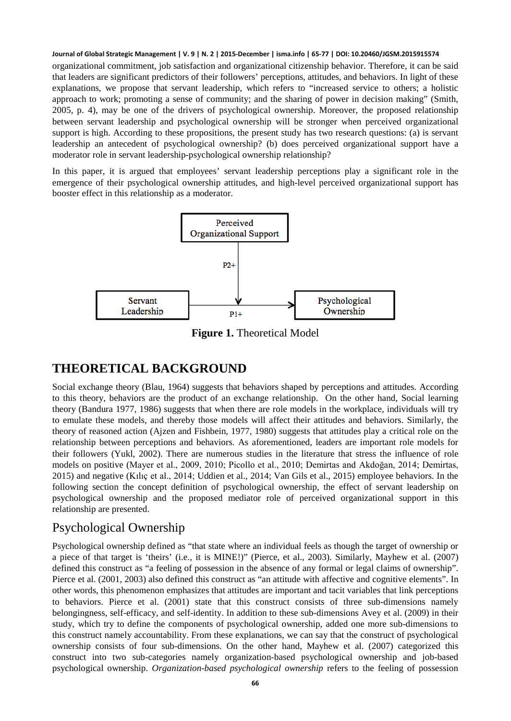organizational commitment, job satisfaction and organizational citizenship behavior. Therefore, it can be said that leaders are significant predictors of their followers' perceptions, attitudes, and behaviors. In light of these explanations, we propose that servant leadership, which refers to "increased service to others; a holistic approach to work; promoting a sense of community; and the sharing of power in decision making" (Smith, 2005, p. 4), may be one of the drivers of psychological ownership. Moreover, the proposed relationship between servant leadership and psychological ownership will be stronger when perceived organizational support is high. According to these propositions, the present study has two research questions: (a) is servant leadership an antecedent of psychological ownership? (b) does perceived organizational support have a moderator role in servant leadership-psychological ownership relationship?

In this paper, it is argued that employees' servant leadership perceptions play a significant role in the emergence of their psychological ownership attitudes, and high-level perceived organizational support has booster effect in this relationship as a moderator.



**Figure 1.** Theoretical Model

# **THEORETICAL BACKGROUND**

Social exchange theory (Blau, 1964) suggests that behaviors shaped by perceptions and attitudes. According to this theory, behaviors are the product of an exchange relationship. On the other hand, Social learning theory (Bandura 1977, 1986) suggests that when there are role models in the workplace, individuals will try to emulate these models, and thereby those models will affect their attitudes and behaviors. Similarly, the theory of reasoned action (Ajzen and Fishbein, 1977, 1980) suggests that attitudes play a critical role on the relationship between perceptions and behaviors. As aforementioned, leaders are important role models for their followers (Yukl, 2002). There are numerous studies in the literature that stress the influence of role models on positive (Mayer et al., 2009, 2010; Picollo et al., 2010; Demirtas and Akdoğan, 2014; Demirtas, 2015) and negative (Kılıç et al., 2014; Uddien et al., 2014; Van Gils et al., 2015) employee behaviors. In the following section the concept definition of psychological ownership, the effect of servant leadership on psychological ownership and the proposed mediator role of perceived organizational support in this relationship are presented.

# Psychological Ownership

Psychological ownership defined as "that state where an individual feels as though the target of ownership or a piece of that target is 'theirs' (i.e., it is MINE!)" (Pierce, et al., 2003). Similarly, Mayhew et al. (2007) defined this construct as "a feeling of possession in the absence of any formal or legal claims of ownership". Pierce et al. (2001, 2003) also defined this construct as "an attitude with affective and cognitive elements". In other words, this phenomenon emphasizes that attitudes are important and tacit variables that link perceptions to behaviors. Pierce et al. (2001) state that this construct consists of three sub-dimensions namely belongingness, self-efficacy, and self-identity. In addition to these sub-dimensions Avey et al. (2009) in their study, which try to define the components of psychological ownership, added one more sub-dimensions to this construct namely accountability. From these explanations, we can say that the construct of psychological ownership consists of four sub-dimensions. On the other hand, Mayhew et al. (2007) categorized this construct into two sub-categories namely organization-based psychological ownership and job-based psychological ownership. *Organization-based psychological ownership* refers to the feeling of possession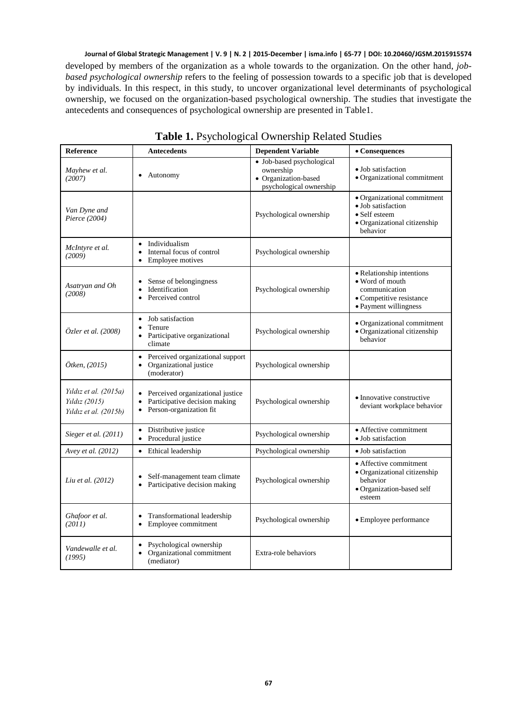developed by members of the organization as a whole towards to the organization. On the other hand, *jobbased psychological ownership* refers to the feeling of possession towards to a specific job that is developed by individuals. In this respect, in this study, to uncover organizational level determinants of psychological ownership, we focused on the organization-based psychological ownership. The studies that investigate the antecedents and consequences of psychological ownership are presented in Table1.

| Reference                                                       | <b>Antecedents</b>                                                                                                  | <b>Dependent Variable</b>                                                                 | • Consequences                                                                                                     |
|-----------------------------------------------------------------|---------------------------------------------------------------------------------------------------------------------|-------------------------------------------------------------------------------------------|--------------------------------------------------------------------------------------------------------------------|
| Mayhew et al.<br>(2007)                                         | Autonomy<br>٠                                                                                                       | · Job-based psychological<br>ownership<br>• Organization-based<br>psychological ownership | • Job satisfaction<br>· Organizational commitment                                                                  |
| Van Dyne and<br>Pierce (2004)                                   |                                                                                                                     | Psychological ownership                                                                   | • Organizational commitment<br>· Job satisfaction<br>• Self esteem<br>• Organizational citizenship<br>behavior     |
| McIntyre et al.<br>(2009)                                       | Individualism<br>٠<br>Internal focus of control<br>Employee motives<br>$\bullet$                                    | Psychological ownership                                                                   |                                                                                                                    |
| Asatryan and Oh<br>(2008)                                       | Sense of belongingness<br>٠<br>Identification<br>$\bullet$<br>Perceived control<br>٠                                | Psychological ownership                                                                   | • Relationship intentions<br>• Word of mouth<br>communication<br>• Competitive resistance<br>• Payment willingness |
| Özler et al. (2008)                                             | Job satisfaction<br>$\bullet$<br>Tenure<br>$\bullet$<br>Participative organizational<br>climate                     | Psychological ownership                                                                   | • Organizational commitment<br>· Organizational citizenship<br>behavior                                            |
| Ötken, (2015)                                                   | Perceived organizational support<br>$\bullet$<br>Organizational justice<br>٠<br>(moderator)                         | Psychological ownership                                                                   |                                                                                                                    |
| Yıldız et al. (2015a)<br>Yıldız (2015)<br>Yıldız et al. (2015b) | Perceived organizational justice<br>$\bullet$<br>Participative decision making<br>٠<br>Person-organization fit<br>٠ | Psychological ownership                                                                   | • Innovative constructive<br>deviant workplace behavior                                                            |
| Sieger et al. (2011)                                            | Distributive justice<br>٠<br>Procedural justice                                                                     | Psychological ownership                                                                   | • Affective commitment<br>• Job satisfaction                                                                       |
| Avey et al. (2012)                                              | Ethical leadership<br>$\bullet$                                                                                     | Psychological ownership                                                                   | • Job satisfaction                                                                                                 |
| Liu et al. (2012)                                               | Self-management team climate<br>٠<br>Participative decision making<br>٠                                             | Psychological ownership                                                                   | • Affective commitment<br>• Organizational citizenship<br>behavior<br>· Organization-based self<br>esteem          |
| Ghafoor et al.<br>(2011)                                        | Transformational leadership<br>٠<br>Employee commitment<br>٠                                                        | Psychological ownership                                                                   | • Employee performance                                                                                             |
| Vandewalle et al.<br>(1995)                                     | Psychological ownership<br>٠<br>Organizational commitment<br>(mediator)                                             | Extra-role behaviors                                                                      |                                                                                                                    |

### **Table 1.** Psychological Ownership Related Studies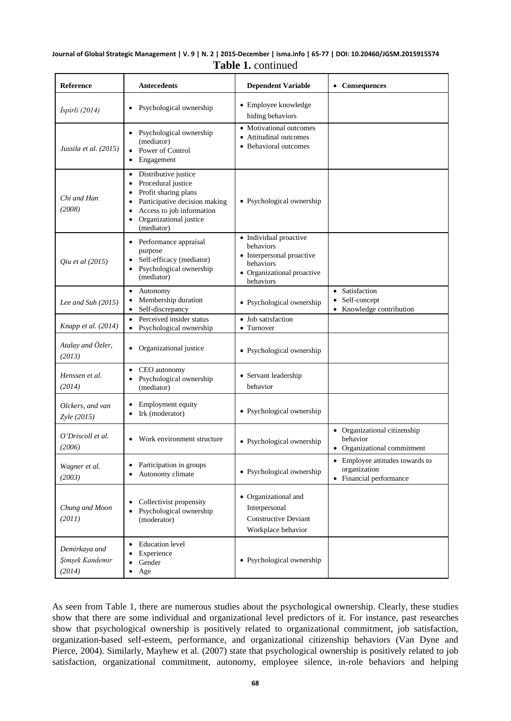### **Journal of Global Strategic Management | V. 9 | N. 2 | 2015-December | isma.info | 65-77 | DOI: 10.20460/JGSM.2015915574 Table 1.** continued

| <b>Reference</b>                           | <b>Antecedents</b>                                                                                                                                                                                                                             | <b>Dependent Variable</b>                                                                                                | • Consequences                                                                   |
|--------------------------------------------|------------------------------------------------------------------------------------------------------------------------------------------------------------------------------------------------------------------------------------------------|--------------------------------------------------------------------------------------------------------------------------|----------------------------------------------------------------------------------|
| İspirli (2014)                             | Psychological ownership<br>$\bullet$                                                                                                                                                                                                           | • Employee knowledge<br>hiding behaviors                                                                                 |                                                                                  |
| Jussila et al. (2015)                      | Psychological ownership<br>$\bullet$<br>(mediator)<br>• Power of Control<br>Engagement<br>$\bullet$                                                                                                                                            | • Motivational outcomes<br>Attitudinal outcomes<br>• Behavioral outcomes                                                 |                                                                                  |
| Chi and Han<br>(2008)                      | Distributive justice<br>$\bullet$<br>Procedural justice<br>$\bullet$<br>Profit sharing plans<br>$\bullet$<br>Participative decision making<br>$\bullet$<br>Access to job information<br>٠<br>Organizational justice<br>$\bullet$<br>(mediator) | • Psychological ownership                                                                                                |                                                                                  |
| Qiu et al (2015)                           | Performance appraisal<br>$\bullet$<br>purpose<br>Self-efficacy (mediator)<br>$\bullet$<br>Psychological ownership<br>$\bullet$<br>(mediator)                                                                                                   | • Individual proactive<br>behaviors<br>• Interpersonal proactive<br>behaviors<br>• Organizational proactive<br>behaviors |                                                                                  |
| Lee and Suh (2015)                         | Autonomy<br>$\bullet$<br>Membership duration<br>$\bullet$<br>Self-discrepancy<br>$\bullet$                                                                                                                                                     | · Psychological ownership                                                                                                | Satisfaction<br>$\bullet$<br>Self-concept<br>$\bullet$<br>Knowledge contribution |
| Knapp et al. (2014)                        | Perceived insider status<br>$\bullet$<br>Psychological ownership<br>$\bullet$                                                                                                                                                                  | • Job satisfaction<br>• Turnover                                                                                         |                                                                                  |
| Atalay and Özler,<br>(2013)                | Organizational justice                                                                                                                                                                                                                         | • Psychological ownership                                                                                                |                                                                                  |
| Henssen et al.<br>(2014)                   | CEO autonomy<br>$\bullet$<br>Psychological ownership<br>$\bullet$<br>(mediator)                                                                                                                                                                | • Servant leadership<br>behavior                                                                                         |                                                                                  |
| Olckers, and van<br>Zyle (2015)            | Employment equity<br>٠<br>Irk (moderator)<br>$\bullet$                                                                                                                                                                                         | • Psychological ownership                                                                                                |                                                                                  |
| O'Driscoll et al.<br>(2006)                | Work environment structure<br>$\bullet$                                                                                                                                                                                                        | • Psychological ownership                                                                                                | • Organizational citizenship<br>behavior<br>• Organizational commitment          |
| Wagner et al.<br>(2003)                    | Participation in groups<br>Autonomy climate                                                                                                                                                                                                    | • Psychological ownership                                                                                                | • Employee attitudes towards to<br>organization<br>• Financial performance       |
| Chung and Moon<br>(2011)                   | Collectivist propensity<br>$\bullet$<br>Psychological ownership<br>$\bullet$<br>(moderator)                                                                                                                                                    | • Organizational and<br>Interpersonal<br><b>Constructive Deviant</b><br>Workplace behavior                               |                                                                                  |
| Demirkaya and<br>Şimşek Kandemir<br>(2014) | <b>Education</b> level<br>$\bullet$<br>Experience<br>٠<br>Gender<br>$\bullet$<br>Age<br>$\bullet$                                                                                                                                              | • Psychological ownership                                                                                                |                                                                                  |

As seen from Table 1, there are numerous studies about the psychological ownership. Clearly, these studies show that there are some individual and organizational level predictors of it. For instance, past researches show that psychological ownership is positively related to organizational commitment, job satisfaction, organization-based self-esteem, performance, and organizational citizenship behaviors (Van Dyne and Pierce, 2004). Similarly, Mayhew et al. (2007) state that psychological ownership is positively related to job satisfaction, organizational commitment, autonomy, employee silence, in-role behaviors and helping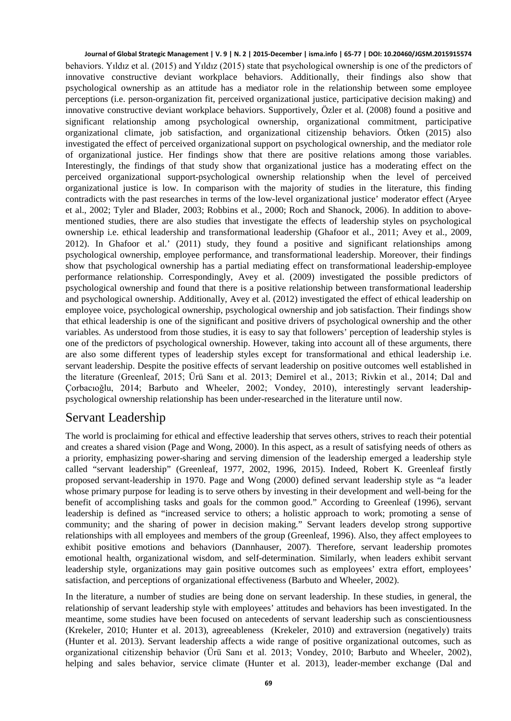behaviors. Yıldız et al. (2015) and Yıldız (2015) state that psychological ownership is one of the predictors of innovative constructive deviant workplace behaviors. Additionally, their findings also show that psychological ownership as an attitude has a mediator role in the relationship between some employee perceptions (i.e. person-organization fit, perceived organizational justice, participative decision making) and innovative constructive deviant workplace behaviors. Supportively, Özler et al. (2008) found a positive and significant relationship among psychological ownership, organizational commitment, participative organizational climate, job satisfaction, and organizational citizenship behaviors. Ötken (2015) also investigated the effect of perceived organizational support on psychological ownership, and the mediator role of organizational justice. Her findings show that there are positive relations among those variables. Interestingly, the findings of that study show that organizational justice has a moderating effect on the perceived organizational support-psychological ownership relationship when the level of perceived organizational justice is low. In comparison with the majority of studies in the literature, this finding contradicts with the past researches in terms of the low-level organizational justice' moderator effect (Aryee et al., 2002; Tyler and Blader, 2003; Robbins et al., 2000; Roch and Shanock, 2006). In addition to abovementioned studies, there are also studies that investigate the effects of leadership styles on psychological ownership i.e. ethical leadership and transformational leadership (Ghafoor et al., 2011; Avey et al., 2009, 2012). In Ghafoor et al.' (2011) study, they found a positive and significant relationships among psychological ownership, employee performance, and transformational leadership. Moreover, their findings show that psychological ownership has a partial mediating effect on transformational leadership-employee performance relationship. Correspondingly, Avey et al. (2009) investigated the possible predictors of psychological ownership and found that there is a positive relationship between transformational leadership and psychological ownership. Additionally, Avey et al. (2012) investigated the effect of ethical leadership on employee voice, psychological ownership, psychological ownership and job satisfaction. Their findings show that ethical leadership is one of the significant and positive drivers of psychological ownership and the other variables. As understood from those studies, it is easy to say that followers' perception of leadership styles is one of the predictors of psychological ownership. However, taking into account all of these arguments, there are also some different types of leadership styles except for transformational and ethical leadership i.e. servant leadership. Despite the positive effects of servant leadership on positive outcomes well established in the literature (Greenleaf, 2015; Ürü Sanı et al. 2013; Demirel et al., 2013; Rivkin et al., 2014; Dal and Çorbacıoğlu, 2014; Barbuto and Wheeler, 2002; Vondey, 2010), interestingly servant leadershippsychological ownership relationship has been under-researched in the literature until now.

### Servant Leadership

The world is proclaiming for ethical and effective leadership that serves others, strives to reach their potential and creates a shared vision (Page and Wong, 2000). In this aspect, as a result of satisfying needs of others as a priority, emphasizing power-sharing and serving dimension of the leadership emerged a leadership style called "servant leadership" (Greenleaf, 1977, 2002, 1996, 2015). Indeed, Robert K. Greenleaf firstly proposed servant-leadership in 1970. Page and Wong (2000) defined servant leadership style as "a leader whose primary purpose for leading is to serve others by investing in their development and well-being for the benefit of accomplishing tasks and goals for the common good." According to Greenleaf (1996), servant leadership is defined as "increased service to others; a holistic approach to work; promoting a sense of community; and the sharing of power in decision making." Servant leaders develop strong supportive relationships with all employees and members of the group (Greenleaf, 1996). Also, they affect employees to exhibit positive emotions and behaviors (Dannhauser, 2007). Therefore, servant leadership promotes emotional health, organizational wisdom, and self-determination. Similarly, when leaders exhibit servant leadership style, organizations may gain positive outcomes such as employees' extra effort, employees' satisfaction, and perceptions of organizational effectiveness (Barbuto and Wheeler, 2002).

In the literature, a number of studies are being done on servant leadership. In these studies, in general, the relationship of servant leadership style with employees' attitudes and behaviors has been investigated. In the meantime, some studies have been focused on antecedents of servant leadership such as conscientiousness (Krekeler, 2010; Hunter et al. 2013), agreeableness (Krekeler, 2010) and extraversion (negatively) traits (Hunter et al. 2013). Servant leadership affects a wide range of positive organizational outcomes, such as organizational citizenship behavior (Ürü Sanı et al. 2013; Vondey, 2010; Barbuto and Wheeler, 2002), helping and sales behavior, service climate (Hunter et al. 2013), leader-member exchange (Dal and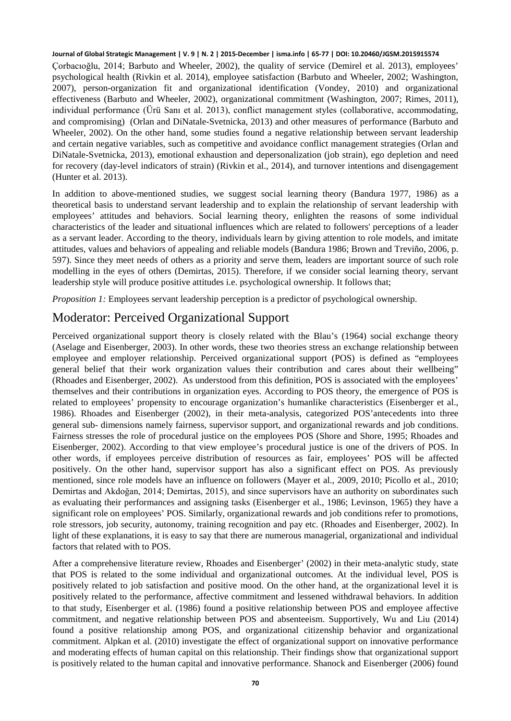Çorbacıoğlu, 2014; Barbuto and Wheeler, 2002), the quality of service (Demirel et al. 2013), employees' psychological health (Rivkin et al. 2014), employee satisfaction (Barbuto and Wheeler, 2002; Washington, 2007), person-organization fit and organizational identification (Vondey, 2010) and organizational effectiveness (Barbuto and Wheeler, 2002), organizational commitment (Washington, 2007; Rimes, 2011), individual performance (Ürü Sanı et al. 2013), conflict management styles (collaborative, accommodating, and compromising) (Orlan and DiNatale-Svetnicka, 2013) and other measures of performance (Barbuto and Wheeler, 2002). On the other hand, some studies found a negative relationship between servant leadership and certain negative variables, such as competitive and avoidance conflict management strategies (Orlan and DiNatale-Svetnicka, 2013), emotional exhaustion and depersonalization (job strain), ego depletion and need for recovery (day-level indicators of strain) (Rivkin et al., 2014), and turnover intentions and disengagement (Hunter et al. 2013).

In addition to above-mentioned studies, we suggest social learning theory (Bandura 1977, 1986) as a theoretical basis to understand servant leadership and to explain the relationship of servant leadership with employees' attitudes and behaviors. Social learning theory, enlighten the reasons of some individual characteristics of the leader and situational influences which are related to followers' perceptions of a leader as a servant leader. According to the theory, individuals learn by giving attention to role models, and imitate attitudes, values and behaviors of appealing and reliable models (Bandura 1986; Brown and Treviño, 2006, p. 597). Since they meet needs of others as a priority and serve them, leaders are important source of such role modelling in the eyes of others (Demirtas, 2015). Therefore, if we consider social learning theory, servant leadership style will produce positive attitudes i.e. psychological ownership. It follows that;

*Proposition 1:* Employees servant leadership perception is a predictor of psychological ownership.

# Moderator: Perceived Organizational Support

Perceived organizational support theory is closely related with the Blau's (1964) social exchange theory (Aselage and Eisenberger, 2003). In other words, these two theories stress an exchange relationship between employee and employer relationship. Perceived organizational support (POS) is defined as "employees general belief that their work organization values their contribution and cares about their wellbeing" (Rhoades and Eisenberger, 2002). As understood from this definition, POS is associated with the employees' themselves and their contributions in organization eyes. According to POS theory, the emergence of POS is related to employees' propensity to encourage organization's humanlike characteristics (Eisenberger et al., 1986). Rhoades and Eisenberger (2002), in their meta-analysis, categorized POS'antecedents into three general sub- dimensions namely fairness, supervisor support, and organizational rewards and job conditions. Fairness stresses the role of procedural justice on the employees POS (Shore and Shore, 1995; Rhoades and Eisenberger, 2002). According to that view employee's procedural justice is one of the drivers of POS. In other words, if employees perceive distribution of resources as fair, employees' POS will be affected positively. On the other hand, supervisor support has also a significant effect on POS. As previously mentioned, since role models have an influence on followers (Mayer et al., 2009, 2010; Picollo et al., 2010; Demirtas and Akdoğan, 2014; Demirtas, 2015), and since supervisors have an authority on subordinates such as evaluating their performances and assigning tasks (Eisenberger et al., 1986; Levinson, 1965) they have a significant role on employees' POS. Similarly, organizational rewards and job conditions refer to promotions, role stressors, job security, autonomy, training recognition and pay etc. (Rhoades and Eisenberger, 2002). In light of these explanations, it is easy to say that there are numerous managerial, organizational and individual factors that related with to POS.

After a comprehensive literature review, Rhoades and Eisenberger' (2002) in their meta-analytic study, state that POS is related to the some individual and organizational outcomes. At the individual level, POS is positively related to job satisfaction and positive mood. On the other hand, at the organizational level it is positively related to the performance, affective commitment and lessened withdrawal behaviors. In addition to that study, Eisenberger et al. (1986) found a positive relationship between POS and employee affective commitment, and negative relationship between POS and absenteeism. Supportively, Wu and Liu (2014) found a positive relationship among POS, and organizational citizenship behavior and organizational commitment. Alpkan et al. (2010) investigate the effect of organizational support on innovative performance and moderating effects of human capital on this relationship. Their findings show that organizational support is positively related to the human capital and innovative performance. Shanock and Eisenberger (2006) found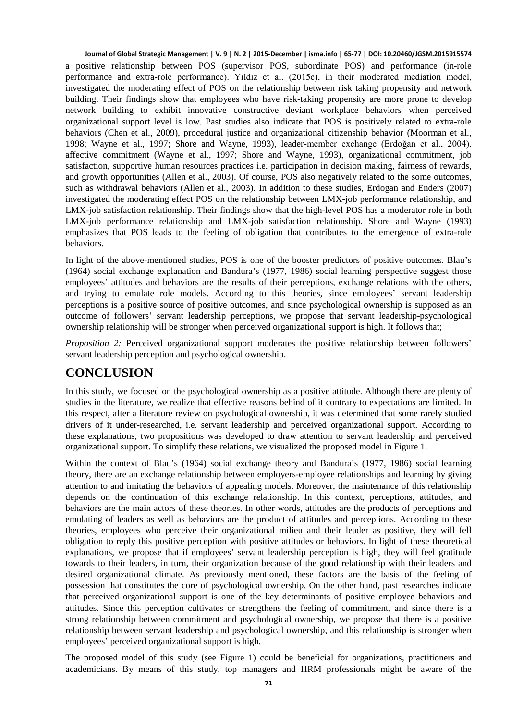a positive relationship between POS (supervisor POS, subordinate POS) and performance (in-role performance and extra-role performance). Yıldız et al. (2015c), in their moderated mediation model, investigated the moderating effect of POS on the relationship between risk taking propensity and network building. Their findings show that employees who have risk-taking propensity are more prone to develop network building to exhibit innovative constructive deviant workplace behaviors when perceived organizational support level is low. Past studies also indicate that POS is positively related to extra-role behaviors (Chen et al., 2009), procedural justice and organizational citizenship behavior (Moorman et al., 1998; Wayne et al., 1997; Shore and Wayne, 1993), leader-member exchange (Erdoğan et al., 2004), affective commitment (Wayne et al., 1997; Shore and Wayne, 1993), organizational commitment, job satisfaction, supportive human resources practices i.e. participation in decision making, fairness of rewards, and growth opportunities (Allen et al., 2003). Of course, POS also negatively related to the some outcomes, such as withdrawal behaviors (Allen et al., 2003). In addition to these studies, Erdogan and Enders (2007) investigated the moderating effect POS on the relationship between LMX-job performance relationship, and LMX-job satisfaction relationship. Their findings show that the high-level POS has a moderator role in both LMX-job performance relationship and LMX-job satisfaction relationship. Shore and Wayne (1993) emphasizes that POS leads to the feeling of obligation that contributes to the emergence of extra-role behaviors.

In light of the above-mentioned studies, POS is one of the booster predictors of positive outcomes. Blau's (1964) social exchange explanation and Bandura's (1977, 1986) social learning perspective suggest those employees' attitudes and behaviors are the results of their perceptions, exchange relations with the others, and trying to emulate role models. According to this theories, since employees' servant leadership perceptions is a positive source of positive outcomes, and since psychological ownership is supposed as an outcome of followers' servant leadership perceptions, we propose that servant leadership-psychological ownership relationship will be stronger when perceived organizational support is high. It follows that;

*Proposition 2:* Perceived organizational support moderates the positive relationship between followers' servant leadership perception and psychological ownership.

### **CONCLUSION**

In this study, we focused on the psychological ownership as a positive attitude. Although there are plenty of studies in the literature, we realize that effective reasons behind of it contrary to expectations are limited. In this respect, after a literature review on psychological ownership, it was determined that some rarely studied drivers of it under-researched, i.e. servant leadership and perceived organizational support. According to these explanations, two propositions was developed to draw attention to servant leadership and perceived organizational support. To simplify these relations, we visualized the proposed model in Figure 1.

Within the context of Blau's (1964) social exchange theory and Bandura's (1977, 1986) social learning theory, there are an exchange relationship between employers-employee relationships and learning by giving attention to and imitating the behaviors of appealing models. Moreover, the maintenance of this relationship depends on the continuation of this exchange relationship. In this context, perceptions, attitudes, and behaviors are the main actors of these theories. In other words, attitudes are the products of perceptions and emulating of leaders as well as behaviors are the product of attitudes and perceptions. According to these theories, employees who perceive their organizational milieu and their leader as positive, they will fell obligation to reply this positive perception with positive attitudes or behaviors. In light of these theoretical explanations, we propose that if employees' servant leadership perception is high, they will feel gratitude towards to their leaders, in turn, their organization because of the good relationship with their leaders and desired organizational climate. As previously mentioned, these factors are the basis of the feeling of possession that constitutes the core of psychological ownership. On the other hand, past researches indicate that perceived organizational support is one of the key determinants of positive employee behaviors and attitudes. Since this perception cultivates or strengthens the feeling of commitment, and since there is a strong relationship between commitment and psychological ownership, we propose that there is a positive relationship between servant leadership and psychological ownership, and this relationship is stronger when employees' perceived organizational support is high.

The proposed model of this study (see Figure 1) could be beneficial for organizations, practitioners and academicians. By means of this study, top managers and HRM professionals might be aware of the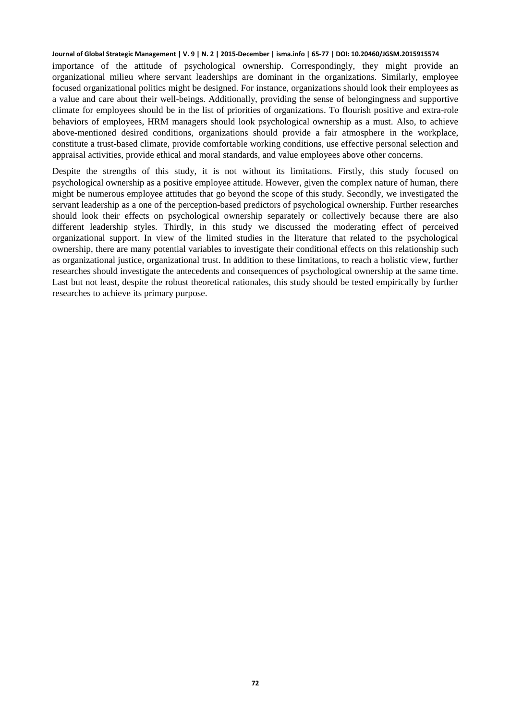importance of the attitude of psychological ownership. Correspondingly, they might provide an organizational milieu where servant leaderships are dominant in the organizations. Similarly, employee focused organizational politics might be designed. For instance, organizations should look their employees as a value and care about their well-beings. Additionally, providing the sense of belongingness and supportive climate for employees should be in the list of priorities of organizations. To flourish positive and extra-role behaviors of employees, HRM managers should look psychological ownership as a must. Also, to achieve above-mentioned desired conditions, organizations should provide a fair atmosphere in the workplace, constitute a trust-based climate, provide comfortable working conditions, use effective personal selection and appraisal activities, provide ethical and moral standards, and value employees above other concerns.

Despite the strengths of this study, it is not without its limitations. Firstly, this study focused on psychological ownership as a positive employee attitude. However, given the complex nature of human, there might be numerous employee attitudes that go beyond the scope of this study. Secondly, we investigated the servant leadership as a one of the perception-based predictors of psychological ownership. Further researches should look their effects on psychological ownership separately or collectively because there are also different leadership styles. Thirdly, in this study we discussed the moderating effect of perceived organizational support. In view of the limited studies in the literature that related to the psychological ownership, there are many potential variables to investigate their conditional effects on this relationship such as organizational justice, organizational trust. In addition to these limitations, to reach a holistic view, further researches should investigate the antecedents and consequences of psychological ownership at the same time. Last but not least, despite the robust theoretical rationales, this study should be tested empirically by further researches to achieve its primary purpose.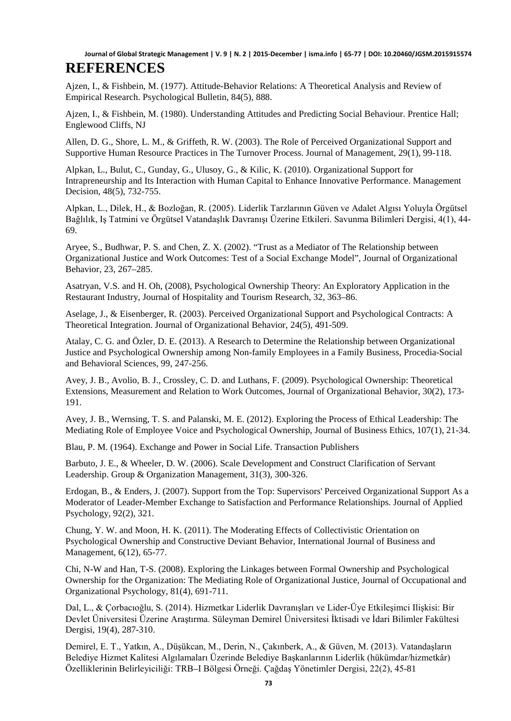Ajzen, I., & Fishbein, M. (1977). Attitude-Behavior Relations: A Theoretical Analysis and Review of Empirical Research. Psychological Bulletin, 84(5), 888.

Ajzen, I., & Fishbein, M. (1980). Understanding Attitudes and Predicting Social Behaviour. Prentice Hall; Englewood Cliffs, NJ

Allen, D. G., Shore, L. M., & Griffeth, R. W. (2003). The Role of Perceived Organizational Support and Supportive Human Resource Practices in The Turnover Process. Journal of Management, 29(1), 99-118.

Alpkan, L., Bulut, C., Gunday, G., Ulusoy, G., & Kilic, K. (2010). Organizational Support for Intrapreneurship and Its Interaction with Human Capital to Enhance Innovative Performance. Management Decision, 48(5), 732-755.

Alpkan, L., Dilek, H., & Bozloğan, R. (2005). Liderlik Tarzlarının Güven ve Adalet Algısı Yoluyla Örgütsel Bağlılık, Iş Tatmini ve Örgütsel Vatandaşlık Davranışı Üzerine Etkileri. Savunma Bilimleri Dergisi, 4(1), 44- 69.

Aryee, S., Budhwar, P. S. and Chen, Z. X. (2002). "Trust as a Mediator of The Relationship between Organizational Justice and Work Outcomes: Test of a Social Exchange Model", Journal of Organizational Behavior, 23, 267–285.

Asatryan, V.S. and H. Oh, (2008), Psychological Ownership Theory: An Exploratory Application in the Restaurant Industry, Journal of Hospitality and Tourism Research, 32, 363–86.

Aselage, J., & Eisenberger, R. (2003). Perceived Organizational Support and Psychological Contracts: A Theoretical Integration. Journal of Organizational Behavior, 24(5), 491-509.

Atalay, C. G. and Özler, D. E. (2013). A Research to Determine the Relationship between Organizational Justice and Psychological Ownership among Non-family Employees in a Family Business, Procedia-Social and Behavioral Sciences, 99, 247-256.

Avey, J. B., Avolio, B. J., Crossley, C. D. and Luthans, F. (2009). Psychological Ownership: Theoretical Extensions, Measurement and Relation to Work Outcomes, Journal of Organizational Behavior, 30(2), 173- 191.

Avey, J. B., Wernsing, T. S. and Palanski, M. E. (2012). Exploring the Process of Ethical Leadership: The Mediating Role of Employee Voice and Psychological Ownership, Journal of Business Ethics, 107(1), 21-34.

Blau, P. M. (1964). Exchange and Power in Social Life. Transaction Publishers

Barbuto, J. E., & Wheeler, D. W. (2006). Scale Development and Construct Clarification of Servant Leadership. Group & Organization Management, 31(3), 300-326.

Erdogan, B., & Enders, J. (2007). Support from the Top: Supervisors' Perceived Organizational Support As a Moderator of Leader-Member Exchange to Satisfaction and Performance Relationships. Journal of Applied Psychology, 92(2), 321.

Chung, Y. W. and Moon, H. K. (2011). The Moderating Effects of Collectivistic Orientation on Psychological Ownership and Constructive Deviant Behavior, International Journal of Business and Management, 6(12), 65-77.

Chi, N-W and Han, T-S. (2008). Exploring the Linkages between Formal Ownership and Psychological Ownership for the Organization: The Mediating Role of Organizational Justice, Journal of Occupational and Organizational Psychology, 81(4), 691-711.

Dal, L., & Çorbacıoğlu, S. (2014). Hizmetkar Liderlik Davranışları ve Lider-Üye Etkileşimci Ilişkisi: Bir Devlet Üniversitesi Üzerine Araştırma. Süleyman Demirel Üniversitesi İktisadi ve İdari Bilimler Fakültesi Dergisi, 19(4), 287-310.

Demirel, E. T., Yatkın, A., Düşükcan, M., Derin, N., Çakınberk, A., & Güven, M. (2013). Vatandaşların Belediye Hizmet Kalitesi Algılamaları Üzerinde Belediye Başkanlarının Liderlik (hükümdar/hizmetkâr) Özelliklerinin Belirleyiciliği: TRB–I Bölgesi Örneği. Çağdaş Yönetimler Dergisi, 22(2), 45-81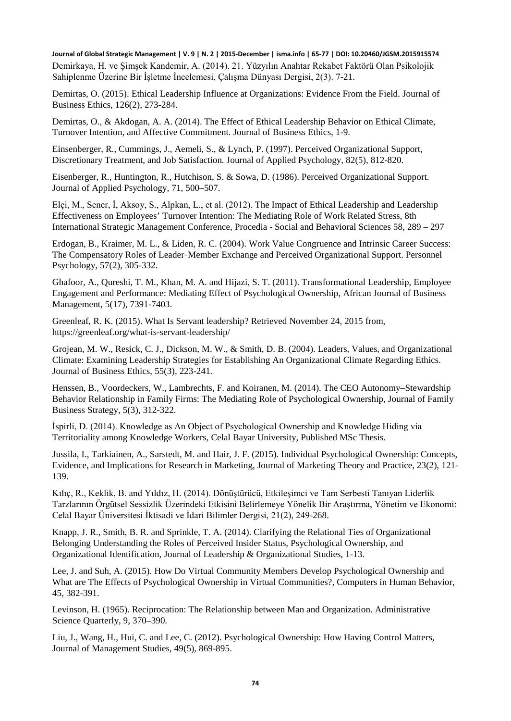**Journal of Global Strategic Management | V. 9 | N. 2 | 2015-December | isma.info | 65-77 | DOI: 10.20460/JGSM.2015915574** Demirkaya, H. ve Şimşek Kandemir, A. (2014). 21. Yüzyılın Anahtar Rekabet Faktörü Olan Psikolojik Sahiplenme Üzerine Bir İşletme İncelemesi, Çalışma Dünyası Dergisi, 2(3). 7-21.

Demirtas, O. (2015). Ethical Leadership Influence at Organizations: Evidence From the Field. Journal of Business Ethics, 126(2), 273-284.

Demirtas, O., & Akdogan, A. A. (2014). The Effect of Ethical Leadership Behavior on Ethical Climate, Turnover Intention, and Affective Commitment. Journal of Business Ethics, 1-9.

Einsenberger, R., Cummings, J., Aemeli, S., & Lynch, P. (1997). Perceived Organizational Support, Discretionary Treatment, and Job Satisfaction. Journal of Applied Psychology, 82(5), 812-820.

Eisenberger, R., Huntington, R., Hutchison, S. & Sowa, D. (1986). Perceived Organizational Support. Journal of Applied Psychology, 71, 500–507.

Elçi, M., Sener, İ, Aksoy, S., Alpkan, L., et al. (2012). The Impact of Ethical Leadership and Leadership Effectiveness on Employees' Turnover Intention: The Mediating Role of Work Related Stress, 8th International Strategic Management Conference, Procedia - Social and Behavioral Sciences 58, 289 – 297

Erdogan, B., Kraimer, M. L., & Liden, R. C. (2004). Work Value Congruence and Intrinsic Career Success: The Compensatory Roles of Leader‐Member Exchange and Perceived Organizational Support. Personnel Psychology, 57(2), 305-332.

Ghafoor, A., Qureshi, T. M., Khan, M. A. and Hijazi, S. T. (2011). Transformational Leadership, Employee Engagement and Performance: Mediating Effect of Psychological Ownership, African Journal of Business Management, 5(17), 7391-7403.

Greenleaf, R. K. (2015). What Is Servant leadership? Retrieved November 24, 2015 from, https://greenleaf.org/what-is-servant-leadership/

Grojean, M. W., Resick, C. J., Dickson, M. W., & Smith, D. B. (2004). Leaders, Values, and Organizational Climate: Examining Leadership Strategies for Establishing An Organizational Climate Regarding Ethics. Journal of Business Ethics, 55(3), 223-241.

Henssen, B., Voordeckers, W., Lambrechts, F. and Koiranen, M. (2014). The CEO Autonomy–Stewardship Behavior Relationship in Family Firms: The Mediating Role of Psychological Ownership, Journal of Family Business Strategy, 5(3), 312-322.

İspirli, D. (2014). Knowledge as An Object of Psychological Ownership and Knowledge Hiding via Territoriality among Knowledge Workers, Celal Bayar University, Published MSc Thesis.

Jussila, I., Tarkiainen, A., Sarstedt, M. and Hair, J. F. (2015). Individual Psychological Ownership: Concepts, Evidence, and Implications for Research in Marketing, Journal of Marketing Theory and Practice, 23(2), 121- 139.

Kılıç, R., Keklik, B. and Yıldız, H. (2014). Dönüştürücü, Etkileşimci ve Tam Serbesti Tanıyan Liderlik Tarzlarının Örgütsel Sessizlik Üzerindeki Etkisini Belirlemeye Yönelik Bir Araştırma, Yönetim ve Ekonomi: Celal Bayar Üniversitesi İktisadi ve İdari Bilimler Dergisi, 21(2), 249-268.

Knapp, J. R., Smith, B. R. and Sprinkle, T. A. (2014). Clarifying the Relational Ties of Organizational Belonging Understanding the Roles of Perceived Insider Status, Psychological Ownership, and Organizational Identification, Journal of Leadership & Organizational Studies, 1-13.

Lee, J. and Suh, A. (2015). How Do Virtual Community Members Develop Psychological Ownership and What are The Effects of Psychological Ownership in Virtual Communities?, Computers in Human Behavior, 45, 382-391.

Levinson, H. (1965). Reciprocation: The Relationship between Man and Organization. Administrative Science Quarterly, 9, 370–390.

Liu, J., Wang, H., Hui, C. and Lee, C. (2012). Psychological Ownership: How Having Control Matters, Journal of Management Studies, 49(5), 869-895.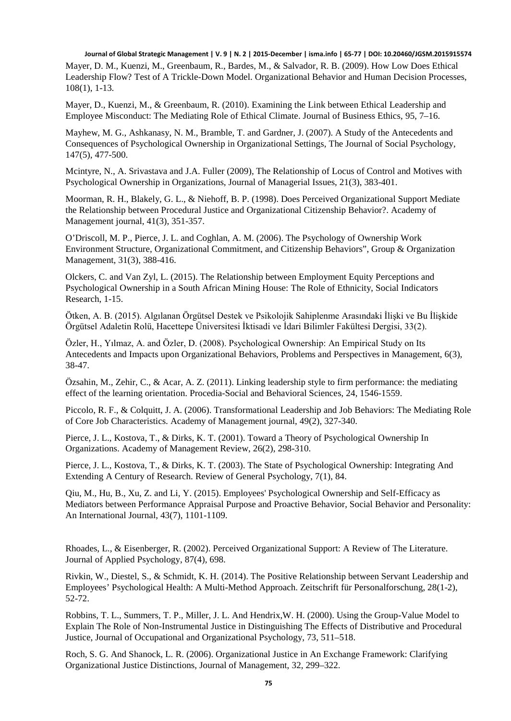Mayer, D. M., Kuenzi, M., Greenbaum, R., Bardes, M., & Salvador, R. B. (2009). How Low Does Ethical Leadership Flow? Test of A Trickle-Down Model. Organizational Behavior and Human Decision Processes, 108(1), 1-13.

Mayer, D., Kuenzi, M., & Greenbaum, R. (2010). Examining the Link between Ethical Leadership and Employee Misconduct: The Mediating Role of Ethical Climate. Journal of Business Ethics, 95, 7–16.

Mayhew, M. G., Ashkanasy, N. M., Bramble, T. and Gardner, J. (2007). A Study of the Antecedents and Consequences of Psychological Ownership in Organizational Settings, The Journal of Social Psychology, 147(5), 477-500.

Mcintyre, N., A. Srivastava and J.A. Fuller (2009), The Relationship of Locus of Control and Motives with Psychological Ownership in Organizations, Journal of Managerial Issues, 21(3), 383-401.

Moorman, R. H., Blakely, G. L., & Niehoff, B. P. (1998). Does Perceived Organizational Support Mediate the Relationship between Procedural Justice and Organizational Citizenship Behavior?. Academy of Management journal, 41(3), 351-357.

O'Driscoll, M. P., Pierce, J. L. and Coghlan, A. M. (2006). The Psychology of Ownership Work Environment Structure, Organizational Commitment, and Citizenship Behaviors", Group & Organization Management, 31(3), 388-416.

Olckers, C. and Van Zyl, L. (2015). The Relationship between Employment Equity Perceptions and Psychological Ownership in a South African Mining House: The Role of Ethnicity, Social Indicators Research, 1-15.

Ötken, A. B. (2015). Algılanan Örgütsel Destek ve Psikolojik Sahiplenme Arasındaki İlişki ve Bu İlişkide Örgütsel Adaletin Rolü, Hacettepe Üniversitesi İktisadi ve İdari Bilimler Fakültesi Dergisi, 33(2).

Özler, H., Yılmaz, A. and Özler, D. (2008). Psychological Ownership: An Empirical Study on Its Antecedents and Impacts upon Organizational Behaviors, Problems and Perspectives in Management, 6(3), 38-47.

Özsahin, M., Zehir, C., & Acar, A. Z. (2011). Linking leadership style to firm performance: the mediating effect of the learning orientation. Procedia-Social and Behavioral Sciences, 24, 1546-1559.

Piccolo, R. F., & Colquitt, J. A. (2006). Transformational Leadership and Job Behaviors: The Mediating Role of Core Job Characteristics. Academy of Management journal, 49(2), 327-340.

Pierce, J. L., Kostova, T., & Dirks, K. T. (2001). Toward a Theory of Psychological Ownership In Organizations. Academy of Management Review, 26(2), 298-310.

Pierce, J. L., Kostova, T., & Dirks, K. T. (2003). The State of Psychological Ownership: Integrating And Extending A Century of Research. Review of General Psychology, 7(1), 84.

Qiu, M., Hu, B., Xu, Z. and Li, Y. (2015). Employees' Psychological Ownership and Self-Efficacy as Mediators between Performance Appraisal Purpose and Proactive Behavior, Social Behavior and Personality: An International Journal, 43(7), 1101-1109.

Rhoades, L., & Eisenberger, R. (2002). Perceived Organizational Support: A Review of The Literature. Journal of Applied Psychology, 87(4), 698.

Rivkin, W., Diestel, S., & Schmidt, K. H. (2014). The Positive Relationship between Servant Leadership and Employees' Psychological Health: A Multi-Method Approach. Zeitschrift für Personalforschung, 28(1-2), 52-72.

Robbins, T. L., Summers, T. P., Miller, J. L. And Hendrix,W. H. (2000). Using the Group-Value Model to Explain The Role of Non-Instrumental Justice in Distinguishing The Effects of Distributive and Procedural Justice, Journal of Occupational and Organizational Psychology, 73, 511–518.

Roch, S. G. And Shanock, L. R. (2006). Organizational Justice in An Exchange Framework: Clarifying Organizational Justice Distinctions, Journal of Management, 32, 299–322.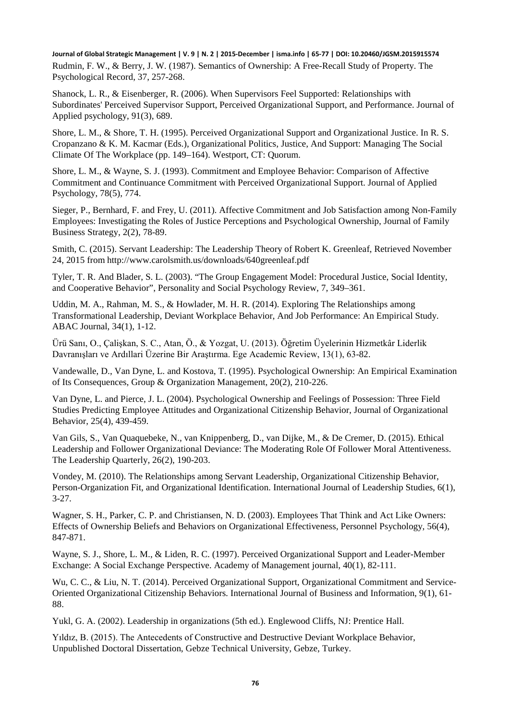**Journal of Global Strategic Management | V. 9 | N. 2 | 2015-December | isma.info | 65-77 | DOI: 10.20460/JGSM.2015915574** Rudmin, F. W., & Berry, J. W. (1987). Semantics of Ownership: A Free-Recall Study of Property. The Psychological Record, 37, 257-268.

Shanock, L. R., & Eisenberger, R. (2006). When Supervisors Feel Supported: Relationships with Subordinates' Perceived Supervisor Support, Perceived Organizational Support, and Performance. Journal of Applied psychology, 91(3), 689.

Shore, L. M., & Shore, T. H. (1995). Perceived Organizational Support and Organizational Justice. In R. S. Cropanzano & K. M. Kacmar (Eds.), Organizational Politics, Justice, And Support: Managing The Social Climate Of The Workplace (pp. 149–164). Westport, CT: Quorum.

Shore, L. M., & Wayne, S. J. (1993). Commitment and Employee Behavior: Comparison of Affective Commitment and Continuance Commitment with Perceived Organizational Support. Journal of Applied Psychology, 78(5), 774.

Sieger, P., Bernhard, F. and Frey, U. (2011). Affective Commitment and Job Satisfaction among Non-Family Employees: Investigating the Roles of Justice Perceptions and Psychological Ownership, Journal of Family Business Strategy, 2(2), 78-89.

Smith, C. (2015). Servant Leadership: The Leadership Theory of Robert K. Greenleaf, Retrieved November 24, 2015 from http://www.carolsmith.us/downloads/640greenleaf.pdf

Tyler, T. R. And Blader, S. L. (2003). "The Group Engagement Model: Procedural Justice, Social Identity, and Cooperative Behavior", Personality and Social Psychology Review, 7, 349–361.

Uddin, M. A., Rahman, M. S., & Howlader, M. H. R. (2014). Exploring The Relationships among Transformational Leadership, Deviant Workplace Behavior, And Job Performance: An Empirical Study. ABAC Journal, 34(1), 1-12.

Ürü Sanı, O., Çalişkan, S. C., Atan, Ö., & Yozgat, U. (2013). Öğretim Üyelerinin Hizmetkâr Liderlik Davranışları ve Ardıllari Üzerine Bir Araştırma. Ege Academic Review, 13(1), 63-82.

Vandewalle, D., Van Dyne, L. and Kostova, T. (1995). Psychological Ownership: An Empirical Examination of Its Consequences, Group & Organization Management, 20(2), 210-226.

Van Dyne, L. and Pierce, J. L. (2004). Psychological Ownership and Feelings of Possession: Three Field Studies Predicting Employee Attitudes and Organizational Citizenship Behavior, Journal of Organizational Behavior, 25(4), 439-459.

Van Gils, S., Van Quaquebeke, N., van Knippenberg, D., van Dijke, M., & De Cremer, D. (2015). Ethical Leadership and Follower Organizational Deviance: The Moderating Role Of Follower Moral Attentiveness. The Leadership Quarterly, 26(2), 190-203.

Vondey, M. (2010). The Relationships among Servant Leadership, Organizational Citizenship Behavior, Person-Organization Fit, and Organizational Identification. International Journal of Leadership Studies, 6(1), 3-27.

Wagner, S. H., Parker, C. P. and Christiansen, N. D. (2003). Employees That Think and Act Like Owners: Effects of Ownership Beliefs and Behaviors on Organizational Effectiveness, Personnel Psychology, 56(4), 847-871.

Wayne, S. J., Shore, L. M., & Liden, R. C. (1997). Perceived Organizational Support and Leader-Member Exchange: A Social Exchange Perspective. Academy of Management journal, 40(1), 82-111.

Wu, C. C., & Liu, N. T. (2014). Perceived Organizational Support, Organizational Commitment and Service-Oriented Organizational Citizenship Behaviors. International Journal of Business and Information, 9(1), 61- 88.

Yukl, G. A. (2002). Leadership in organizations (5th ed.). Englewood Cliffs, NJ: Prentice Hall.

Yıldız, B. (2015). The Antecedents of Constructive and Destructive Deviant Workplace Behavior, Unpublished Doctoral Dissertation, Gebze Technical University, Gebze, Turkey.